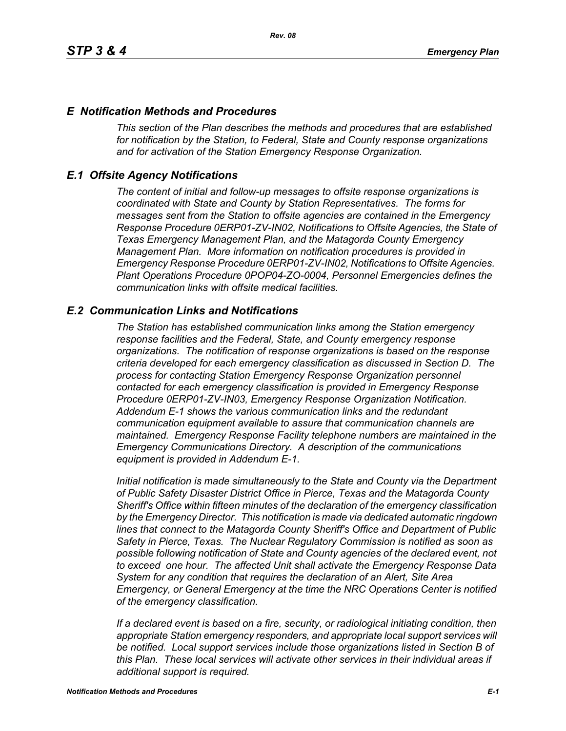## *E Notification Methods and Procedures*

*This section of the Plan describes the methods and procedures that are established for notification by the Station, to Federal, State and County response organizations and for activation of the Station Emergency Response Organization.*

## *E.1 Offsite Agency Notifications*

*The content of initial and follow-up messages to offsite response organizations is coordinated with State and County by Station Representatives. The forms for messages sent from the Station to offsite agencies are contained in the Emergency Response Procedure 0ERP01-ZV-IN02, Notifications to Offsite Agencies, the State of Texas Emergency Management Plan, and the Matagorda County Emergency Management Plan. More information on notification procedures is provided in Emergency Response Procedure 0ERP01-ZV-IN02, Notifications to Offsite Agencies. Plant Operations Procedure 0POP04-ZO-0004, Personnel Emergencies defines the communication links with offsite medical facilities.*

## *E.2 Communication Links and Notifications*

*The Station has established communication links among the Station emergency response facilities and the Federal, State, and County emergency response organizations. The notification of response organizations is based on the response criteria developed for each emergency classification as discussed in Section D. The process for contacting Station Emergency Response Organization personnel contacted for each emergency classification is provided in Emergency Response Procedure 0ERP01-ZV-IN03, Emergency Response Organization Notification. Addendum E-1 shows the various communication links and the redundant communication equipment available to assure that communication channels are maintained. Emergency Response Facility telephone numbers are maintained in the Emergency Communications Directory. A description of the communications equipment is provided in Addendum E-1.*

*Initial notification is made simultaneously to the State and County via the Department of Public Safety Disaster District Office in Pierce, Texas and the Matagorda County Sheriff's Office within fifteen minutes of the declaration of the emergency classification by the Emergency Director. This notification is made via dedicated automatic ringdown lines that connect to the Matagorda County Sheriff's Office and Department of Public Safety in Pierce, Texas. The Nuclear Regulatory Commission is notified as soon as possible following notification of State and County agencies of the declared event, not to exceed one hour. The affected Unit shall activate the Emergency Response Data System for any condition that requires the declaration of an Alert, Site Area Emergency, or General Emergency at the time the NRC Operations Center is notified of the emergency classification.*

*If a declared event is based on a fire, security, or radiological initiating condition, then appropriate Station emergency responders, and appropriate local support services will be notified. Local support services include those organizations listed in Section B of this Plan. These local services will activate other services in their individual areas if additional support is required.*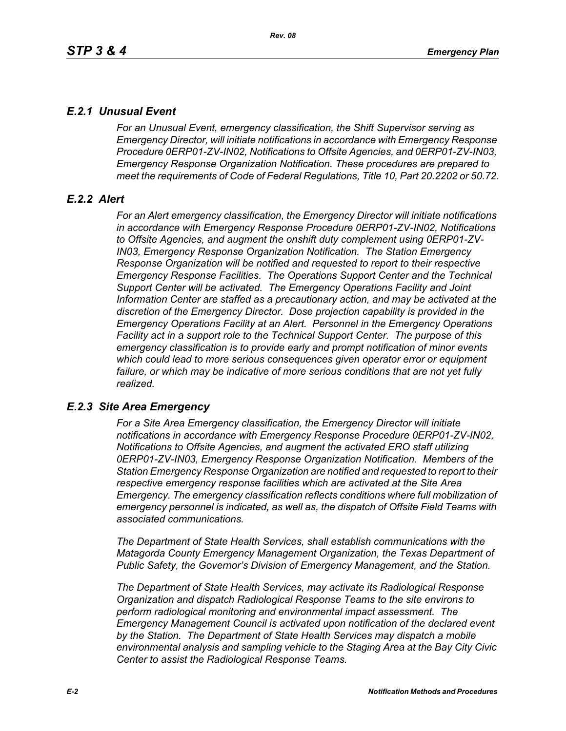# *E.2.1 Unusual Event*

*For an Unusual Event, emergency classification, the Shift Supervisor serving as Emergency Director, will initiate notifications in accordance with Emergency Response Procedure 0ERP01-ZV-IN02, Notifications to Offsite Agencies, and 0ERP01-ZV-IN03, Emergency Response Organization Notification. These procedures are prepared to meet the requirements of Code of Federal Regulations, Title 10, Part 20.2202 or 50.72.*

# *E.2.2 Alert*

*For an Alert emergency classification, the Emergency Director will initiate notifications in accordance with Emergency Response Procedure 0ERP01-ZV-IN02, Notifications to Offsite Agencies, and augment the onshift duty complement using 0ERP01-ZV-IN03, Emergency Response Organization Notification. The Station Emergency Response Organization will be notified and requested to report to their respective Emergency Response Facilities. The Operations Support Center and the Technical Support Center will be activated. The Emergency Operations Facility and Joint Information Center are staffed as a precautionary action, and may be activated at the discretion of the Emergency Director. Dose projection capability is provided in the Emergency Operations Facility at an Alert. Personnel in the Emergency Operations Facility act in a support role to the Technical Support Center. The purpose of this emergency classification is to provide early and prompt notification of minor events which could lead to more serious consequences given operator error or equipment*  failure, or which may be indicative of more serious conditions that are not yet fully *realized.*

# *E.2.3 Site Area Emergency*

*For a Site Area Emergency classification, the Emergency Director will initiate notifications in accordance with Emergency Response Procedure 0ERP01-ZV-IN02, Notifications to Offsite Agencies, and augment the activated ERO staff utilizing 0ERP01-ZV-IN03, Emergency Response Organization Notification. Members of the Station Emergency Response Organization are notified and requested to report to their respective emergency response facilities which are activated at the Site Area Emergency. The emergency classification reflects conditions where full mobilization of emergency personnel is indicated, as well as, the dispatch of Offsite Field Teams with associated communications.*

*The Department of State Health Services, shall establish communications with the Matagorda County Emergency Management Organization, the Texas Department of Public Safety, the Governor's Division of Emergency Management, and the Station.* 

*The Department of State Health Services, may activate its Radiological Response Organization and dispatch Radiological Response Teams to the site environs to perform radiological monitoring and environmental impact assessment. The Emergency Management Council is activated upon notification of the declared event by the Station. The Department of State Health Services may dispatch a mobile environmental analysis and sampling vehicle to the Staging Area at the Bay City Civic Center to assist the Radiological Response Teams.*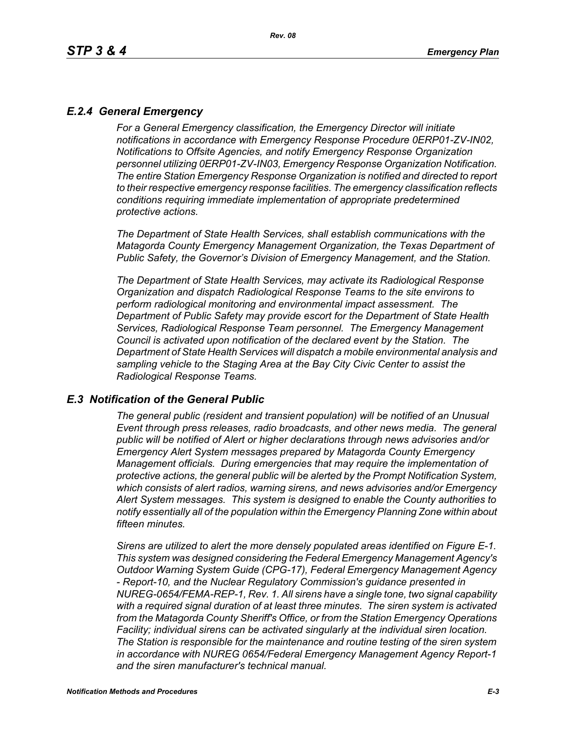# *E.2.4 General Emergency*

*For a General Emergency classification, the Emergency Director will initiate notifications in accordance with Emergency Response Procedure 0ERP01-ZV-IN02, Notifications to Offsite Agencies, and notify Emergency Response Organization personnel utilizing 0ERP01-ZV-IN03, Emergency Response Organization Notification. The entire Station Emergency Response Organization is notified and directed to report to their respective emergency response facilities. The emergency classification reflects conditions requiring immediate implementation of appropriate predetermined protective actions.*

*The Department of State Health Services, shall establish communications with the Matagorda County Emergency Management Organization, the Texas Department of Public Safety, the Governor's Division of Emergency Management, and the Station.*

*The Department of State Health Services, may activate its Radiological Response Organization and dispatch Radiological Response Teams to the site environs to perform radiological monitoring and environmental impact assessment. The Department of Public Safety may provide escort for the Department of State Health Services, Radiological Response Team personnel. The Emergency Management Council is activated upon notification of the declared event by the Station. The Department of State Health Services will dispatch a mobile environmental analysis and sampling vehicle to the Staging Area at the Bay City Civic Center to assist the Radiological Response Teams.*

### *E.3 Notification of the General Public*

*The general public (resident and transient population) will be notified of an Unusual Event through press releases, radio broadcasts, and other news media. The general public will be notified of Alert or higher declarations through news advisories and/or Emergency Alert System messages prepared by Matagorda County Emergency Management officials. During emergencies that may require the implementation of protective actions, the general public will be alerted by the Prompt Notification System, which consists of alert radios, warning sirens, and news advisories and/or Emergency Alert System messages. This system is designed to enable the County authorities to notify essentially all of the population within the Emergency Planning Zone within about fifteen minutes.* 

*Sirens are utilized to alert the more densely populated areas identified on Figure E-1. This system was designed considering the Federal Emergency Management Agency's Outdoor Warning System Guide (CPG-17), Federal Emergency Management Agency - Report-10, and the Nuclear Regulatory Commission's guidance presented in NUREG-0654/FEMA-REP-1, Rev. 1. All sirens have a single tone, two signal capability with a required signal duration of at least three minutes. The siren system is activated from the Matagorda County Sheriff's Office, or from the Station Emergency Operations Facility; individual sirens can be activated singularly at the individual siren location. The Station is responsible for the maintenance and routine testing of the siren system in accordance with NUREG 0654/Federal Emergency Management Agency Report-1 and the siren manufacturer's technical manual.*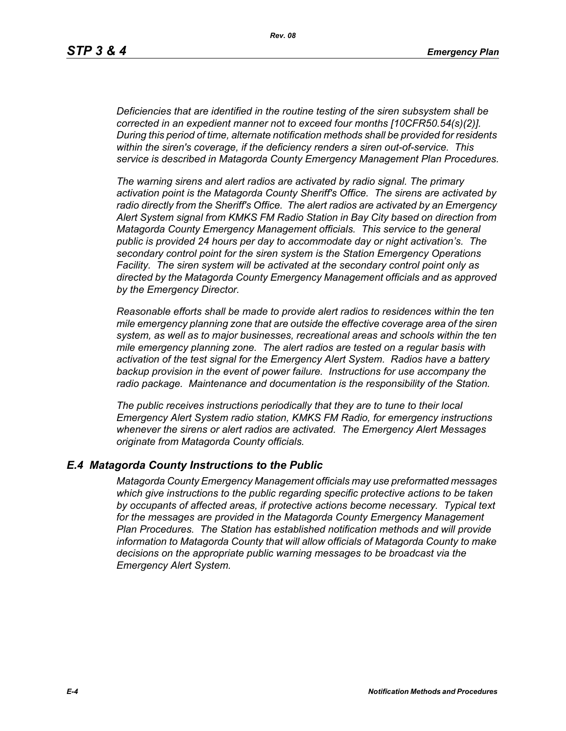*Deficiencies that are identified in the routine testing of the siren subsystem shall be corrected in an expedient manner not to exceed four months [10CFR50.54(s)(2)]. During this period of time, alternate notification methods shall be provided for residents within the siren's coverage, if the deficiency renders a siren out-of-service. This service is described in Matagorda County Emergency Management Plan Procedures.*

*The warning sirens and alert radios are activated by radio signal. The primary activation point is the Matagorda County Sheriff's Office. The sirens are activated by radio directly from the Sheriff's Office. The alert radios are activated by an Emergency Alert System signal from KMKS FM Radio Station in Bay City based on direction from Matagorda County Emergency Management officials. This service to the general public is provided 24 hours per day to accommodate day or night activation's. The secondary control point for the siren system is the Station Emergency Operations Facility. The siren system will be activated at the secondary control point only as directed by the Matagorda County Emergency Management officials and as approved by the Emergency Director.* 

*Reasonable efforts shall be made to provide alert radios to residences within the ten mile emergency planning zone that are outside the effective coverage area of the siren system, as well as to major businesses, recreational areas and schools within the ten mile emergency planning zone. The alert radios are tested on a regular basis with activation of the test signal for the Emergency Alert System. Radios have a battery backup provision in the event of power failure. Instructions for use accompany the radio package. Maintenance and documentation is the responsibility of the Station.* 

*The public receives instructions periodically that they are to tune to their local Emergency Alert System radio station, KMKS FM Radio, for emergency instructions whenever the sirens or alert radios are activated. The Emergency Alert Messages originate from Matagorda County officials.* 

### *E.4 Matagorda County Instructions to the Public*

*Matagorda County Emergency Management officials may use preformatted messages which give instructions to the public regarding specific protective actions to be taken by occupants of affected areas, if protective actions become necessary. Typical text for the messages are provided in the Matagorda County Emergency Management Plan Procedures. The Station has established notification methods and will provide information to Matagorda County that will allow officials of Matagorda County to make decisions on the appropriate public warning messages to be broadcast via the Emergency Alert System.*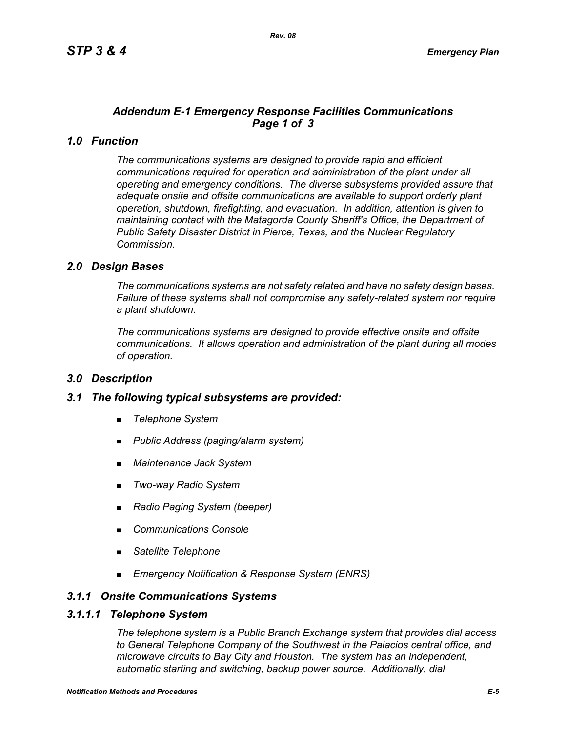# *Addendum E-1 Emergency Response Facilities Communications Page 1 of 3*

# *1.0 Function*

*The communications systems are designed to provide rapid and efficient communications required for operation and administration of the plant under all operating and emergency conditions. The diverse subsystems provided assure that adequate onsite and offsite communications are available to support orderly plant operation, shutdown, firefighting, and evacuation. In addition, attention is given to maintaining contact with the Matagorda County Sheriff's Office, the Department of Public Safety Disaster District in Pierce, Texas, and the Nuclear Regulatory Commission.*

## *2.0 Design Bases*

*The communications systems are not safety related and have no safety design bases. Failure of these systems shall not compromise any safety-related system nor require a plant shutdown.*

*The communications systems are designed to provide effective onsite and offsite communications. It allows operation and administration of the plant during all modes of operation.*

### *3.0 Description*

### *3.1 The following typical subsystems are provided:*

- *Telephone System*
- *Public Address (paging/alarm system)*
- *Maintenance Jack System*
- *Two-way Radio System*
- *Radio Paging System (beeper)*
- *Communications Console*
- *Satellite Telephone*
- *Emergency Notification & Response System (ENRS)*

## *3.1.1 Onsite Communications Systems*

#### *3.1.1.1 Telephone System*

*The telephone system is a Public Branch Exchange system that provides dial access to General Telephone Company of the Southwest in the Palacios central office, and microwave circuits to Bay City and Houston. The system has an independent, automatic starting and switching, backup power source. Additionally, dial*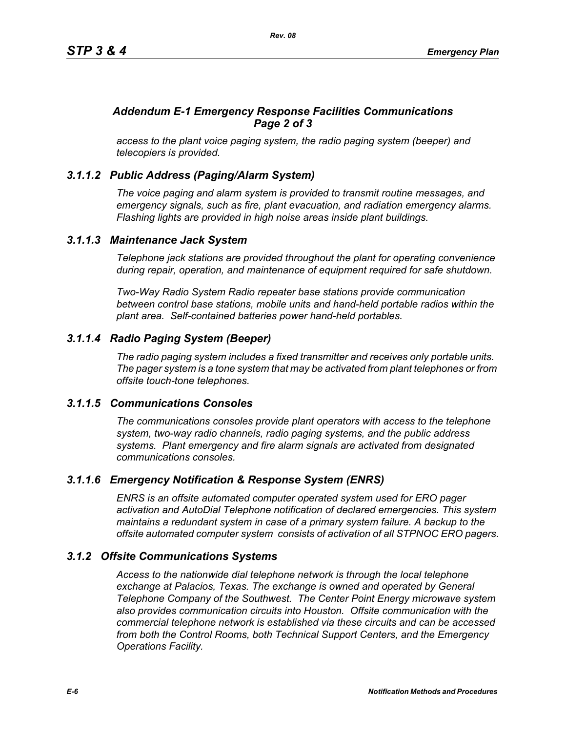# *Addendum E-1 Emergency Response Facilities Communications Page 2 of 3*

*access to the plant voice paging system, the radio paging system (beeper) and telecopiers is provided.*

# *3.1.1.2 Public Address (Paging/Alarm System)*

*The voice paging and alarm system is provided to transmit routine messages, and emergency signals, such as fire, plant evacuation, and radiation emergency alarms. Flashing lights are provided in high noise areas inside plant buildings.*

## *3.1.1.3 Maintenance Jack System*

*Telephone jack stations are provided throughout the plant for operating convenience during repair, operation, and maintenance of equipment required for safe shutdown.* 

*Two-Way Radio System Radio repeater base stations provide communication between control base stations, mobile units and hand-held portable radios within the plant area. Self-contained batteries power hand-held portables.* 

# *3.1.1.4 Radio Paging System (Beeper)*

*The radio paging system includes a fixed transmitter and receives only portable units. The pager system is a tone system that may be activated from plant telephones or from offsite touch-tone telephones.* 

### *3.1.1.5 Communications Consoles*

*The communications consoles provide plant operators with access to the telephone system, two-way radio channels, radio paging systems, and the public address systems. Plant emergency and fire alarm signals are activated from designated communications consoles.*

# *3.1.1.6 Emergency Notification & Response System (ENRS)*

*ENRS is an offsite automated computer operated system used for ERO pager activation and AutoDial Telephone notification of declared emergencies. This system maintains a redundant system in case of a primary system failure. A backup to the offsite automated computer system consists of activation of all STPNOC ERO pagers.*

# *3.1.2 Offsite Communications Systems*

*Access to the nationwide dial telephone network is through the local telephone exchange at Palacios, Texas. The exchange is owned and operated by General Telephone Company of the Southwest. The Center Point Energy microwave system also provides communication circuits into Houston. Offsite communication with the commercial telephone network is established via these circuits and can be accessed from both the Control Rooms, both Technical Support Centers, and the Emergency Operations Facility.*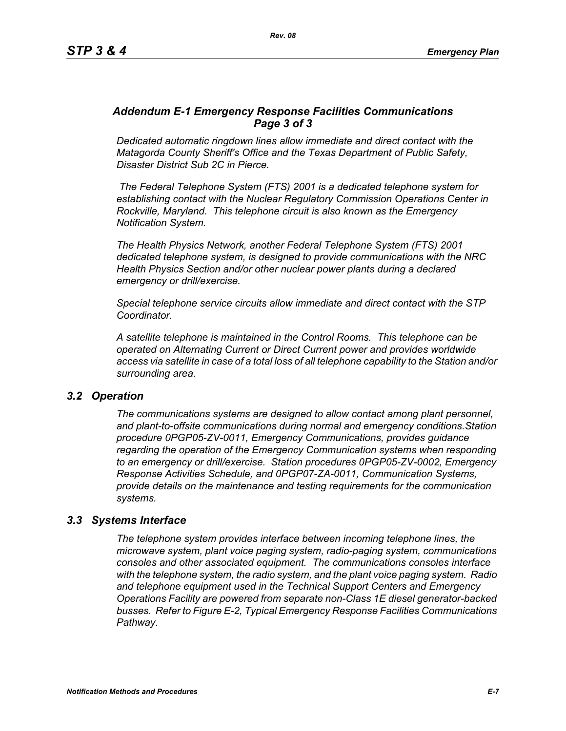## *Addendum E-1 Emergency Response Facilities Communications Page 3 of 3*

*Dedicated automatic ringdown lines allow immediate and direct contact with the Matagorda County Sheriff's Office and the Texas Department of Public Safety, Disaster District Sub 2C in Pierce.*

 *The Federal Telephone System (FTS) 2001 is a dedicated telephone system for establishing contact with the Nuclear Regulatory Commission Operations Center in Rockville, Maryland. This telephone circuit is also known as the Emergency Notification System.*

*The Health Physics Network, another Federal Telephone System (FTS) 2001 dedicated telephone system, is designed to provide communications with the NRC Health Physics Section and/or other nuclear power plants during a declared emergency or drill/exercise.*

*Special telephone service circuits allow immediate and direct contact with the STP Coordinator.*

*A satellite telephone is maintained in the Control Rooms. This telephone can be operated on Alternating Current or Direct Current power and provides worldwide access via satellite in case of a total loss of all telephone capability to the Station and/or surrounding area.*

### *3.2 Operation*

*The communications systems are designed to allow contact among plant personnel, and plant-to-offsite communications during normal and emergency conditions.Station procedure 0PGP05-ZV-0011, Emergency Communications, provides guidance regarding the operation of the Emergency Communication systems when responding to an emergency or drill/exercise. Station procedures 0PGP05-ZV-0002, Emergency Response Activities Schedule, and 0PGP07-ZA-0011, Communication Systems, provide details on the maintenance and testing requirements for the communication systems.*

### *3.3 Systems Interface*

*The telephone system provides interface between incoming telephone lines, the microwave system, plant voice paging system, radio-paging system, communications consoles and other associated equipment. The communications consoles interface with the telephone system, the radio system, and the plant voice paging system. Radio and telephone equipment used in the Technical Support Centers and Emergency Operations Facility are powered from separate non-Class 1E diesel generator-backed busses. Refer to Figure E-2, Typical Emergency Response Facilities Communications Pathway.*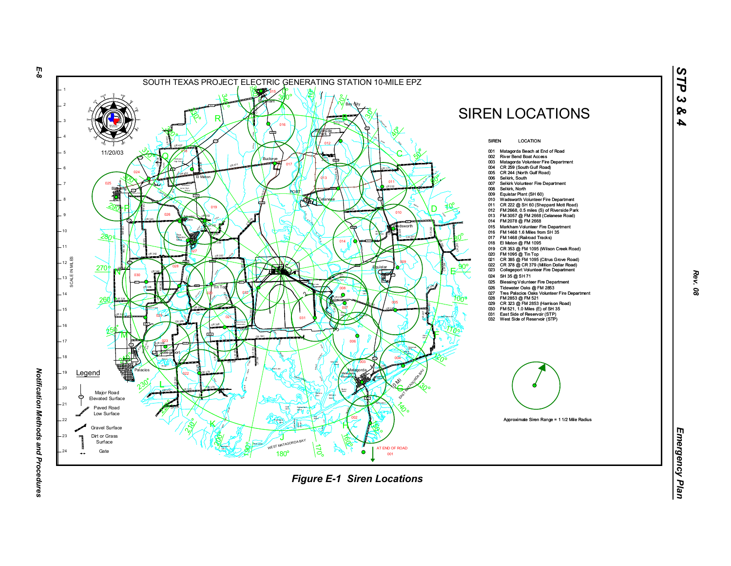

*Rev. 08*

*STP 3 & 4*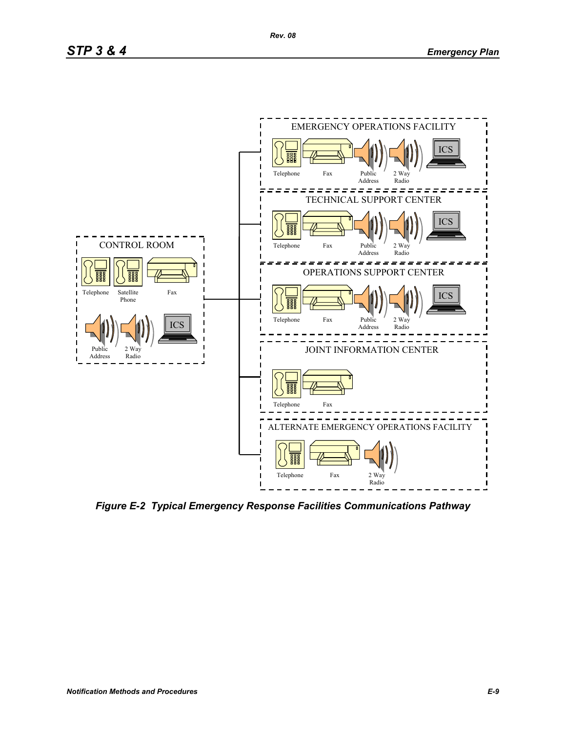

*Figure E-2 Typical Emergency Response Facilities Communications Pathway*